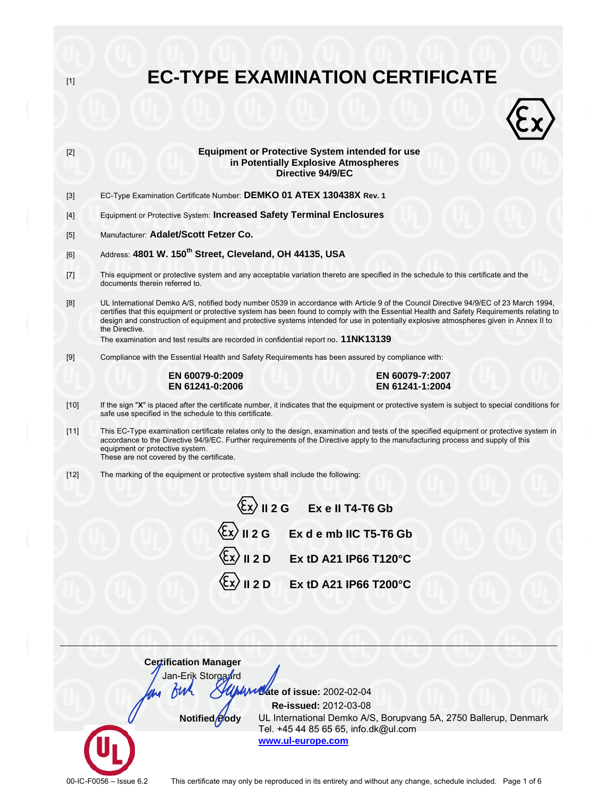**EC-TYPE EXAMINATION CERTIFICATE**  $[1]$ **Equipment or Protective System intended for use**  $[2]$ in Potentially Explosive Atmospheres Directive 94/9/EC EC-Type Examination Certificate Number: DEMKO 01 ATEX 130438X Rev. 1  $[3]$ Equipment or Protective System: Increased Safety Terminal Enclosures  $[4]$ Manufacturer: Adalet/Scott Fetzer Co.  $[5]$ Address: 4801 W. 150<sup>th</sup> Street, Cleveland, OH 44135, USA  $[6]$ This equipment or protective system and any acceptable variation thereto are specified in the schedule to this certificate and the  $[7]$ documents therein referred to.  $[8]$ UL International Demko A/S, notified body number 0539 in accordance with Article 9 of the Council Directive 94/9/EC of 23 March 1994, certifies that this equipment or protective system has been found to comply with the Essential Health and Safety Requirements relating to design and construction of equipment and protective systems intended for use in potentially explosive atmospheres given in Annex II to the Directive. The examination and test results are recorded in confidential report no. 11NK13139 Compliance with the Essential Health and Safety Requirements has been assured by compliance with:  $[9]$ EN 60079-7:2007 EN 60079-0:2009 EN 61241-0:2006 EN 61241-1:2004 If the sign "X" is placed after the certificate number, it indicates that the equipment or protective system is subject to special conditions for  $[10]$ safe use specified in the schedule to this certificate.  $[11]$ This EC-Type examination certificate relates only to the design, examination and tests of the specified equipment or protective system in accordance to the Directive 94/9/EC. Further requirements of the Directive apply to the manufacturing process and supply of this equipment or protective system. These are not covered by the certificate.  $[12]$ The marking of the equipment or protective system shall include the following:  $\langle \xi x \rangle$  || 2 G Exell T4-T6 Gb  $\overline{\mathbb{E}}\mathbf{x}$  II 2 G Ex d e mb IIC T5-T6 Gb Ex tD A21 IP66 T120°C  $II 2 D$ Ex tD A21 IP66 T200°C

> **Certification Manager** Jan-Erik Storgand

> > Notified Pody

fth

Municate of issue: 2002-02-04

Re-issued: 2012-03-08 UL International Demko A/S, Borupvang 5A, 2750 Ballerup, Denmark Tel. +45 44 85 65 65, info.dk@ul.com www.ul-europe.com

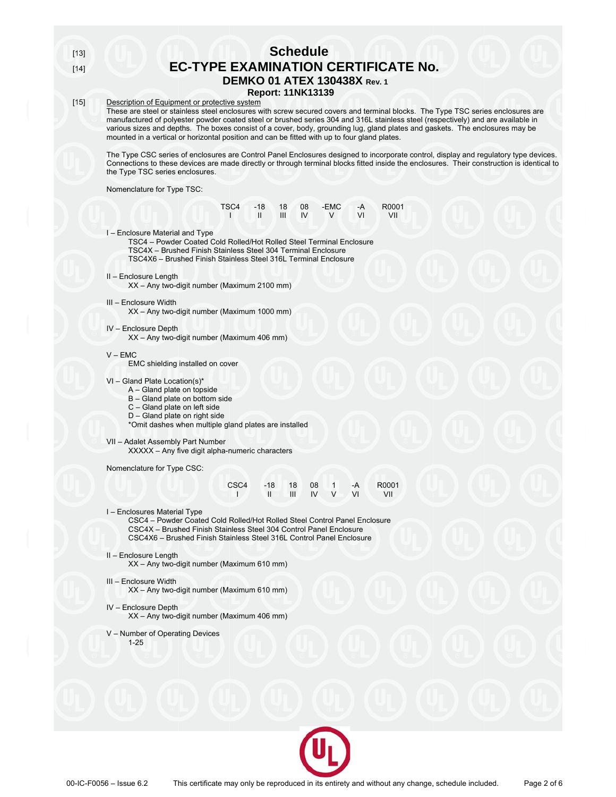$[13]$  $[14]$ 

## **Schedule EC-TYPE EXAMINATION CERTIFICATE No. DEMKO 01 ATEX 130438X Rev. 1**

**Report: 11NK13139** 

#### $[15]$ Description of Equipment or protective system

These are steel or stainless steel enclosures with screw secured covers and terminal blocks. The Type TSC series enclosures are manufactured of polyester powder coated steel or brushed series 304 and 316L stainless steel (respectively) and are available in various sizes and depths. The boxes consist of a cover, body, grounding lug, gland plates and gaskets. The enclosures may be mounted in a vertical or horizontal position and can be fitted with up to four gland plates.

The Type CSC series of enclosures are Control Panel Enclosures designed to incorporate control, display and regulatory type devices. Connections to these devices are made directly or through terminal blocks fitted inside the enclosures. Their construction is identical to the Type TSC series enclosures.

Nomenclature for Type TSC:

|  |                                                                  | TSC4 -18 18 08 -EMC -A R0001 |         |
|--|------------------------------------------------------------------|------------------------------|---------|
|  | $\mathbb{I}$ $\mathbb{I}$ $\mathbb{I}$ $\mathbb{I}$ $\mathbb{V}$ | <b>V</b> VI                  | $  VII$ |

I - Enclosure Material and Type

TSC4 - Powder Coated Cold Rolled/Hot Rolled Steel Terminal Enclosure TSC4X - Brushed Finish Stainless Steel 304 Terminal Enclosure

TSC4X6 - Brushed Finish Stainless Steel 316L Terminal Enclosure

#### II - Enclosure Length

XX - Any two-digit number (Maximum 2100 mm)

- III Enclosure Width XX - Any two-digit number (Maximum 1000 mm)
- IV Enclosure Depth
	- XX Any two-digit number (Maximum 406 mm)

#### $V - EMC$

EMC shielding installed on cover

### VI - Gland Plate Location(s)\*

- A Gland plate on topside
- B Gland plate on bottom side
- C Gland plate on left side
- D Gland plate on right side

\*Omit dashes when multiple gland plates are installed

VII - Adalet Assembly Part Number

XXXXX - Any five digit alpha-numeric characters

Nomenclature for Type CSC:

| CSC <sub>4</sub> |                                                                                                          |  | $-18$ 18 08 1 $-A$ | R000 <sup>-</sup> |
|------------------|----------------------------------------------------------------------------------------------------------|--|--------------------|-------------------|
| and the state    | $\mathbf{H} \odot \mathbf{H} \mathbf{H}$ $\mathbf{V} \odot \mathbf{V} \rightarrow \mathbf{V} \mathbf{H}$ |  |                    | VII               |

I - Enclosures Material Type

CSC4 - Powder Coated Cold Rolled/Hot Rolled Steel Control Panel Enclosure CSC4X - Brushed Finish Stainless Steel 304 Control Panel Enclosure CSC4X6 - Brushed Finish Stainless Steel 316L Control Panel Enclosure

#### II - Enclosure Length

XX - Any two-digit number (Maximum 610 mm)

## III - Enclosure Width

XX - Any two-digit number (Maximum 610 mm)

#### IV - Enclosure Depth

XX - Any two-digit number (Maximum 406 mm)

V - Number of Operating Devices

 $1 - 25$ 

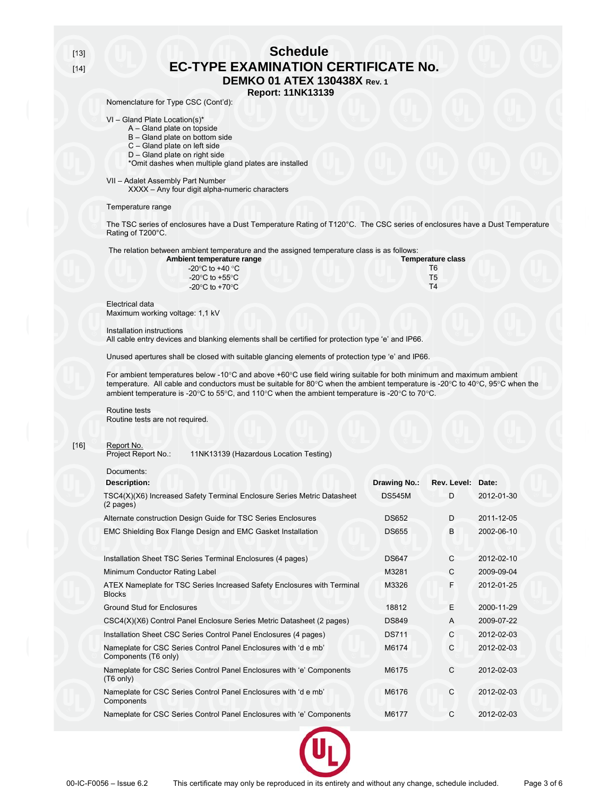$[13]$  $[14]$ 

## **Schedule EC-TYPE EXAMINATION CERTIFICATE No. DEMKO 01 ATEX 130438X Rev. 1**

**Report: 11NK13139** Nomenclature for Type CSC (Cont'd):

## $VI - Gland Plate Location(s)<sup>*</sup>$

- A Gland plate on topside
- B Gland plate on bottom side
- C Gland plate on left side
- D Gland plate on right side
- \*Omit dashes when multiple gland plates are installed

#### VII - Adalet Assembly Part Number

Am

XXXX - Any four digit alpha-numeric characters

#### Temperature range

The TSC series of enclosures have a Dust Temperature Rating of T120°C. The CSC series of enclosures have a Dust Temperature Rating of T200°C.

The relation between ambient temperature and the assigned temperature class is as follows:

| bient temperature range                              | <b>Temperature class</b> |
|------------------------------------------------------|--------------------------|
| -20 $^{\circ}$ C to +40 $^{\circ}$ C                 |                          |
| -20 $\mathrm{^{\circ}C}$ to +55 $\mathrm{^{\circ}C}$ | T5                       |
| -20 $\mathrm{^{\circ}C}$ to +70 $\mathrm{^{\circ}C}$ | T4                       |

**Electrical data** Maximum working voltage: 1,1 kV

#### Installation instructions

All cable entry devices and blanking elements shall be certified for protection type 'e' and IP66.

Unused apertures shall be closed with suitable glancing elements of protection type 'e' and IP66.

For ambient temperatures below -10°C and above +60°C use field wiring suitable for both minimum and maximum ambient temperature. All cable and conductors must be suitable for 80°C when the ambient temperature is -20°C to 40°C, 95°C when the ambient temperature is -20°C to 55°C, and 110°C when the ambient temperature is -20°C to 70°C.

Routine tests Routine tests are not required.

#### $[16]$ Report No.

Project Report No.: 11NK13139 (Hazardous Location Testing)

Documents:

| <b>Description:</b>                                                                          | <b>Drawing No.:</b> | Rev. Level: Date: |            |
|----------------------------------------------------------------------------------------------|---------------------|-------------------|------------|
| TSC4(X)(X6) Increased Safety Terminal Enclosure Series Metric Datasheet<br>(2 pages)         | <b>DS545M</b>       | D.                | 2012-01-30 |
| Alternate construction Design Guide for TSC Series Enclosures                                | <b>DS652</b>        | D                 | 2011-12-05 |
| EMC Shielding Box Flange Design and EMC Gasket Installation                                  | <b>DS655</b>        | B                 | 2002-06-10 |
| Installation Sheet TSC Series Terminal Enclosures (4 pages)                                  | <b>DS647</b>        | $\mathsf{C}$      | 2012-02-10 |
| Minimum Conductor Rating Label                                                               | M3281               | C                 | 2009-09-04 |
| ATEX Nameplate for TSC Series Increased Safety Enclosures with Terminal<br><b>Blocks</b>     | M3326               | F                 | 2012-01-25 |
| <b>Ground Stud for Enclosures</b>                                                            | 18812               | E                 | 2000-11-29 |
| CSC4(X)(X6) Control Panel Enclosure Series Metric Datasheet (2 pages)                        | <b>DS849</b>        | A                 | 2009-07-22 |
| Installation Sheet CSC Series Control Panel Enclosures (4 pages)                             | <b>DS711</b>        | C                 | 2012-02-03 |
| Nameplate for CSC Series Control Panel Enclosures with 'd e mb'<br>Components (T6 only)      | M6174               | C                 | 2012-02-03 |
| Nameplate for CSC Series Control Panel Enclosures with 'e' Components<br>$(T6 \text{ only})$ | M6175               | C                 | 2012-02-03 |
| Nameplate for CSC Series Control Panel Enclosures with 'd e mb'<br>Components                | M6176               | C                 | 2012-02-03 |
| Nameplate for CSC Series Control Panel Enclosures with 'e' Components                        | M6177               | C                 | 2012-02-03 |
|                                                                                              |                     |                   |            |

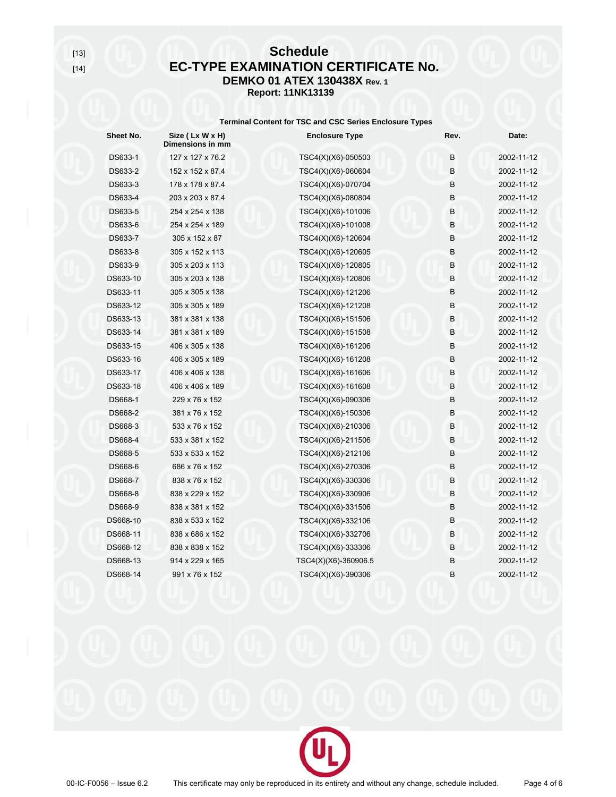# **Schedule EC-TYPE EXAMINATION CERTIFICATE No. DEMKO 01 ATEX 130438X Rev. 1 Report: 11NK13139**

## **Terminal Content for TSC and CSC Series Enclosure Types**

| Sheet No. | Size (Lx W x H)<br>Dimensions in mm | <b>Enclosure Type</b> | Rev. | Date:      |
|-----------|-------------------------------------|-----------------------|------|------------|
| DS633-1   | 127 x 127 x 76.2                    | TSC4(X)(X6)-050503    | B    | 2002-11-12 |
| DS633-2   | 152 x 152 x 87.4                    | TSC4(X)(X6)-060604    | B.   | 2002-11-12 |
| DS633-3   | 178 x 178 x 87.4                    | TSC4(X)(X6)-070704    | В    | 2002-11-12 |
| DS633-4   | 203 x 203 x 87.4                    | TSC4(X)(X6)-080804    | B    | 2002-11-12 |
| DS633-5   | 254 x 254 x 138                     | TSC4(X)(X6)-101006    | B    | 2002-11-12 |
| DS633-6   | 254 x 254 x 189                     | TSC4(X)(X6)-101008    | B    | 2002-11-12 |
| DS633-7   | 305 x 152 x 87                      | TSC4(X)(X6)-120604    | B    | 2002-11-12 |
| DS633-8   | 305 x 152 x 113                     | TSC4(X)(X6)-120605    | В    | 2002-11-12 |
| DS633-9   | 305 x 203 x 113                     | TSC4(X)(X6)-120805    | B    | 2002-11-12 |
| DS633-10  | 305 x 203 x 138                     | TSC4(X)(X6)-120806    | B    | 2002-11-12 |
| DS633-11  | 305 x 305 x 138                     | TSC4(X)(X6)-121206    | B    | 2002-11-12 |
| DS633-12  | 305 x 305 x 189                     | TSC4(X)(X6)-121208    | B    | 2002-11-12 |
| DS633-13  | 381 x 381 x 138                     | TSC4(X)(X6)-151506    | B    | 2002-11-12 |
| DS633-14  | 381 x 381 x 189                     | TSC4(X)(X6)-151508    | B    | 2002-11-12 |
| DS633-15  | 406 x 305 x 138                     | TSC4(X)(X6)-161206    | B    | 2002-11-12 |
| DS633-16  | 406 x 305 x 189                     | TSC4(X)(X6)-161208    | B    | 2002-11-12 |
| DS633-17  | 406 x 406 x 138                     | TSC4(X)(X6)-161606    | B    | 2002-11-12 |
| DS633-18  | 406 x 406 x 189                     | TSC4(X)(X6)-161608    | B    | 2002-11-12 |
| DS668-1   | 229 x 76 x 152                      | TSC4(X)(X6)-090306    | B    | 2002-11-12 |
| DS668-2   | 381 x 76 x 152                      | TSC4(X)(X6)-150306    | B    | 2002-11-12 |
| DS668-3   | 533 x 76 x 152                      | TSC4(X)(X6)-210306    | B    | 2002-11-12 |
| DS668-4   | 533 x 381 x 152                     | TSC4(X)(X6)-211506    | B    | 2002-11-12 |
| DS668-5   | 533 x 533 x 152                     | TSC4(X)(X6)-212106    | B    | 2002-11-12 |
| DS668-6   | 686 x 76 x 152                      | TSC4(X)(X6)-270306    | B    | 2002-11-12 |
| DS668-7   | 838 x 76 x 152                      | TSC4(X)(X6)-330306    | B    | 2002-11-12 |
| DS668-8   | 838 x 229 x 152                     | TSC4(X)(X6)-330906    | B    | 2002-11-12 |
| DS668-9   | 838 x 381 x 152                     | TSC4(X)(X6)-331506    | B    | 2002-11-12 |
| DS668-10  | 838 x 533 x 152                     | TSC4(X)(X6)-332106    | B    | 2002-11-12 |
| DS668-11  | 838 x 686 x 152                     | TSC4(X)(X6)-332706    | B    | 2002-11-12 |
| DS668-12  | 838 x 838 x 152                     | TSC4(X)(X6)-333306    | B    | 2002-11-12 |
| DS668-13  | 914 x 229 x 165                     | TSC4(X)(X6)-360906.5  | B    | 2002-11-12 |
| DS668-14  | 991 x 76 x 152                      | TSC4(X)(X6)-390306    | B    | 2002-11-12 |
|           |                                     |                       |      |            |

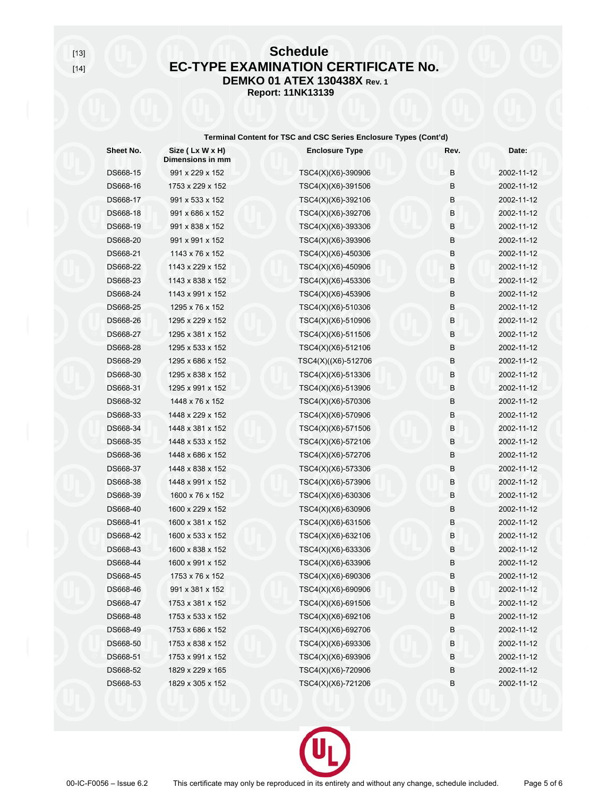$[13]$  $[14]$ 

# **Schedule EC-TYPE EXAMINATION CERTIFICATE No. DEMKO 01 ATEX 130438X Rev. 1 Report: 11NK13139**

## Terminal Content for TSC and CSC Series Enclosure Types (Cont'd)

| Sheet No. | Size (Lx W x H)<br>Dimensions in mm | <b>Enclosure Type</b> | Rev.    | Date:      |
|-----------|-------------------------------------|-----------------------|---------|------------|
| DS668-15  | 991 x 229 x 152                     | TSC4(X)(X6)-390906    | B       | 2002-11-12 |
| DS668-16  | 1753 x 229 x 152                    | TSC4(X)(X6)-391506    | B       | 2002-11-12 |
| DS668-17  | 991 x 533 x 152                     | TSC4(X)(X6)-392106    | B       | 2002-11-12 |
| DS668-18  | 991 x 686 x 152                     | TSC4(X)(X6)-392706    | $\sf B$ | 2002-11-12 |
| DS668-19  | 991 x 838 x 152                     | TSC4(X)(X6)-393306    | B       | 2002-11-12 |
| DS668-20  | 991 x 991 x 152                     | TSC4(X)(X6)-393906    | B       | 2002-11-12 |
| DS668-21  | 1143 x 76 x 152                     | TSC4(X)(X6)-450306    | B       | 2002-11-12 |
| DS668-22  | 1143 x 229 x 152                    | TSC4(X)(X6)-450906    | B       | 2002-11-12 |
| DS668-23  | 1143 x 838 x 152                    | TSC4(X)(X6)-453306    | В       | 2002-11-12 |
| DS668-24  | 1143 x 991 x 152                    | TSC4(X)(X6)-453906    | B       | 2002-11-12 |
| DS668-25  | 1295 x 76 x 152                     | TSC4(X)(X6)-510306    | B       | 2002-11-12 |
| DS668-26  | 1295 x 229 x 152                    | TSC4(X)(X6)-510906    | B       | 2002-11-12 |
| DS668-27  | 1295 x 381 x 152                    | TSC4(X)(X6)-511506    | B       | 2002-11-12 |
| DS668-28  | 1295 x 533 x 152                    | TSC4(X)(X6)-512106    | B       | 2002-11-12 |
| DS668-29  | 1295 x 686 x 152                    | TSC4(X)((X6)-512706   | B       | 2002-11-12 |
| DS668-30  | 1295 x 838 x 152                    | TSC4(X)(X6)-513306    | B       | 2002-11-12 |
| DS668-31  | 1295 x 991 x 152                    | TSC4(X)(X6)-513906    | B       | 2002-11-12 |
| DS668-32  | 1448 x 76 x 152                     | TSC4(X)(X6)-570306    | B       | 2002-11-12 |
| DS668-33  | 1448 x 229 x 152                    | TSC4(X)(X6)-570906    | B       | 2002-11-12 |
| DS668-34  | 1448 x 381 x 152                    | TSC4(X)(X6)-571506    | B       | 2002-11-12 |
| DS668-35  | 1448 x 533 x 152                    | TSC4(X)(X6)-572106    | B       | 2002-11-12 |
| DS668-36  | 1448 x 686 x 152                    | TSC4(X)(X6)-572706    | В       | 2002-11-12 |
| DS668-37  | 1448 x 838 x 152                    | TSC4(X)(X6)-573306    | B       | 2002-11-12 |
| DS668-38  | 1448 x 991 x 152                    | TSC4(X)(X6)-573906    | B       | 2002-11-12 |
| DS668-39  | 1600 x 76 x 152                     | TSC4(X)(X6)-630306    | B       | 2002-11-12 |
| DS668-40  | 1600 x 229 x 152                    | TSC4(X)(X6)-630906    | B       | 2002-11-12 |
| DS668-41  | 1600 x 381 x 152                    | TSC4(X)(X6)-631506    | $\sf B$ | 2002-11-12 |
| DS668-42  | 1600 x 533 x 152                    | TSC4(X)(X6)-632106    | B       | 2002-11-12 |
| DS668-43  | 1600 x 838 x 152                    | TSC4(X)(X6)-633306    | B       | 2002-11-12 |
| DS668-44  | 1600 x 991 x 152                    | TSC4(X)(X6)-633906    | B       | 2002-11-12 |
| DS668-45  | 1753 x 76 x 152                     | TSC4(X)(X6)-690306    | B       | 2002-11-12 |
| DS668-46  | 991 x 381 x 152                     | TSC4(X)(X6)-690906    | B       | 2002-11-12 |
| DS668-47  | 1753 x 381 x 152                    | TSC4(X)(X6)-691506    | В       | 2002-11-12 |
| DS668-48  | 1753 x 533 x 152                    | TSC4(X)(X6)-692106    | В       | 2002-11-12 |
| DS668-49  | 1753 x 686 x 152                    | TSC4(X)(X6)-692706    | B       | 2002-11-12 |
| DS668-50  | 1753 x 838 x 152                    | TSC4(X)(X6)-693306    | B       | 2002-11-12 |
| DS668-51  | 1753 x 991 x 152                    | TSC4(X)(X6)-693906    | B       | 2002-11-12 |
| DS668-52  | 1829 x 229 x 165                    | TSC4(X)(X6)-720906    | В       | 2002-11-12 |
| DS668-53  | 1829 x 305 x 152                    | TSC4(X)(X6)-721206    | B       | 2002-11-12 |
|           |                                     |                       |         |            |